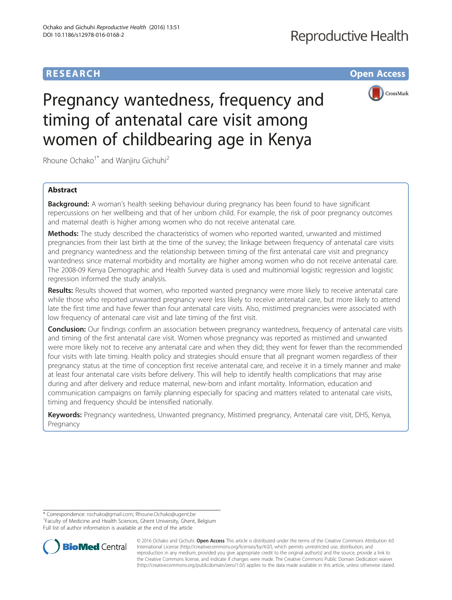## **RESEARCH RESEARCH** *CONSERVERSEARCH*



# Pregnancy wantedness, frequency and timing of antenatal care visit among women of childbearing age in Kenya

Rhoune Ochako<sup>1\*</sup> and Wanjiru Gichuhi<sup>2</sup>

## Abstract

**Background:** A woman's health seeking behaviour during pregnancy has been found to have significant repercussions on her wellbeing and that of her unborn child. For example, the risk of poor pregnancy outcomes and maternal death is higher among women who do not receive antenatal care.

**Methods:** The study described the characteristics of women who reported wanted, unwanted and mistimed pregnancies from their last birth at the time of the survey; the linkage between frequency of antenatal care visits and pregnancy wantedness and the relationship between timing of the first antenatal care visit and pregnancy wantedness since maternal morbidity and mortality are higher among women who do not receive antenatal care. The 2008-09 Kenya Demographic and Health Survey data is used and multinomial logistic regression and logistic regression informed the study analysis.

Results: Results showed that women, who reported wanted pregnancy were more likely to receive antenatal care while those who reported unwanted pregnancy were less likely to receive antenatal care, but more likely to attend late the first time and have fewer than four antenatal care visits. Also, mistimed pregnancies were associated with low frequency of antenatal care visit and late timing of the first visit.

**Conclusion:** Our findings confirm an association between pregnancy wantedness, frequency of antenatal care visits and timing of the first antenatal care visit. Women whose pregnancy was reported as mistimed and unwanted were more likely not to receive any antenatal care and when they did; they went for fewer than the recommended four visits with late timing. Health policy and strategies should ensure that all pregnant women regardless of their pregnancy status at the time of conception first receive antenatal care, and receive it in a timely manner and make at least four antenatal care visits before delivery. This will help to identify health complications that may arise during and after delivery and reduce maternal, new-born and infant mortality. Information, education and communication campaigns on family planning especially for spacing and matters related to antenatal care visits, timing and frequency should be intensified nationally.

Keywords: Pregnancy wantedness, Unwanted pregnancy, Mistimed pregnancy, Antenatal care visit, DHS, Kenya, Pregnancy

\* Correspondence: [rochako@gmail.com](mailto:rochako@gmail.com); [Rhoune.Ochako@ugent.be](mailto:Rhoune.Ochako@ugent.be) <sup>1</sup>

Faculty of Medicine and Health Sciences, Ghent University, Ghent, Belgium Full list of author information is available at the end of the article



© 2016 Ochako and Gichuhi. Open Access This article is distributed under the terms of the Creative Commons Attribution 4.0 International License [\(http://creativecommons.org/licenses/by/4.0/](http://creativecommons.org/licenses/by/4.0/)), which permits unrestricted use, distribution, and reproduction in any medium, provided you give appropriate credit to the original author(s) and the source, provide a link to the Creative Commons license, and indicate if changes were made. The Creative Commons Public Domain Dedication waiver [\(http://creativecommons.org/publicdomain/zero/1.0/](http://creativecommons.org/publicdomain/zero/1.0/)) applies to the data made available in this article, unless otherwise stated.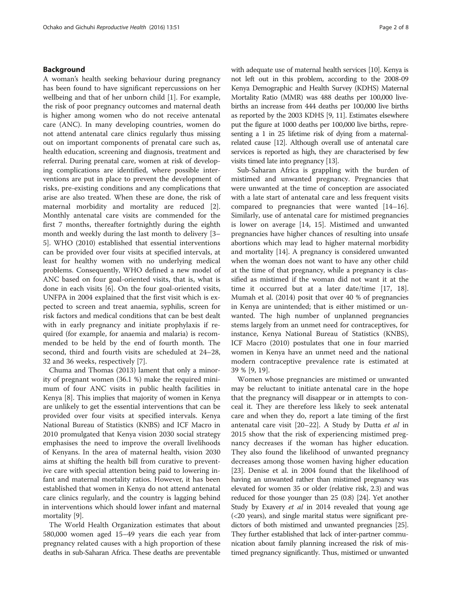## Background

A woman's health seeking behaviour during pregnancy has been found to have significant repercussions on her wellbeing and that of her unborn child [[1\]](#page-6-0). For example, the risk of poor pregnancy outcomes and maternal death is higher among women who do not receive antenatal care (ANC). In many developing countries, women do not attend antenatal care clinics regularly thus missing out on important components of prenatal care such as, health education, screening and diagnosis, treatment and referral. During prenatal care, women at risk of developing complications are identified, where possible interventions are put in place to prevent the development of risks, pre-existing conditions and any complications that arise are also treated. When these are done, the risk of maternal morbidity and mortality are reduced [\[2](#page-6-0)]. Monthly antenatal care visits are commended for the first 7 months, thereafter fortnightly during the eighth month and weekly during the last month to delivery [[3](#page-7-0)– [5\]](#page-7-0). WHO (2010) established that essential interventions can be provided over four visits at specified intervals, at least for healthy women with no underlying medical problems. Consequently, WHO defined a new model of ANC based on four goal-oriented visits, that is, what is done in each visits [[6\]](#page-7-0). On the four goal-oriented visits, UNFPA in 2004 explained that the first visit which is expected to screen and treat anaemia, syphilis, screen for risk factors and medical conditions that can be best dealt with in early pregnancy and initiate prophylaxis if required (for example, for anaemia and malaria) is recommended to be held by the end of fourth month. The second, third and fourth visits are scheduled at 24–28, 32 and 36 weeks, respectively [[7\]](#page-7-0).

Chuma and Thomas (2013) lament that only a minority of pregnant women (36.1 %) make the required minimum of four ANC visits in public health facilities in Kenya [[8\]](#page-7-0). This implies that majority of women in Kenya are unlikely to get the essential interventions that can be provided over four visits at specified intervals. Kenya National Bureau of Statistics (KNBS) and ICF Macro in 2010 promulgated that Kenya vision 2030 social strategy emphasises the need to improve the overall livelihoods of Kenyans. In the area of maternal health, vision 2030 aims at shifting the health bill from curative to preventive care with special attention being paid to lowering infant and maternal mortality ratios. However, it has been established that women in Kenya do not attend antenatal care clinics regularly, and the country is lagging behind in interventions which should lower infant and maternal mortality [\[9\]](#page-7-0).

The World Health Organization estimates that about 580,000 women aged 15–49 years die each year from pregnancy related causes with a high proportion of these deaths in sub-Saharan Africa. These deaths are preventable with adequate use of maternal health services [\[10\]](#page-7-0). Kenya is not left out in this problem, according to the 2008-09 Kenya Demographic and Health Survey (KDHS) Maternal Mortality Ratio (MMR) was 488 deaths per 100,000 livebirths an increase from 444 deaths per 100,000 live births as reported by the 2003 KDHS [\[9, 11](#page-7-0)]. Estimates elsewhere put the figure at 1000 deaths per 100,000 live births, representing a 1 in 25 lifetime risk of dying from a maternalrelated cause [\[12](#page-7-0)]. Although overall use of antenatal care services is reported as high, they are characterised by few visits timed late into pregnancy [\[13\]](#page-7-0).

Sub-Saharan Africa is grappling with the burden of mistimed and unwanted pregnancy. Pregnancies that were unwanted at the time of conception are associated with a late start of antenatal care and less frequent visits compared to pregnancies that were wanted [[14](#page-7-0)–[16](#page-7-0)]. Similarly, use of antenatal care for mistimed pregnancies is lower on average [[14](#page-7-0), [15](#page-7-0)]. Mistimed and unwanted pregnancies have higher chances of resulting into unsafe abortions which may lead to higher maternal morbidity and mortality [[14\]](#page-7-0). A pregnancy is considered unwanted when the woman does not want to have any other child at the time of that pregnancy, while a pregnancy is classified as mistimed if the woman did not want it at the time it occurred but at a later date/time [[17, 18](#page-7-0)]. Mumah et al. (2014) posit that over 40 % of pregnancies in Kenya are unintended; that is either mistimed or unwanted. The high number of unplanned pregnancies stems largely from an unmet need for contraceptives, for instance, Kenya National Bureau of Statistics (KNBS), ICF Macro (2010) postulates that one in four married women in Kenya have an unmet need and the national modern contraceptive prevalence rate is estimated at 39 % [\[9](#page-7-0), [19](#page-7-0)].

Women whose pregnancies are mistimed or unwanted may be reluctant to initiate antenatal care in the hope that the pregnancy will disappear or in attempts to conceal it. They are therefore less likely to seek antenatal care and when they do, report a late timing of the first antenatal care visit  $[20-22]$  $[20-22]$  $[20-22]$  $[20-22]$  $[20-22]$ . A Study by Dutta *et al* in 2015 show that the risk of experiencing mistimed pregnancy decreases if the woman has higher education. They also found the likelihood of unwanted pregnancy decreases among those women having higher education [[23\]](#page-7-0). Denise et al. in 2004 found that the likelihood of having an unwanted rather than mistimed pregnancy was elevated for women 35 or older (relative risk, 2.3) and was reduced for those younger than 25 (0.8) [\[24\]](#page-7-0). Yet another Study by Exavery et al in 2014 revealed that young age (<20 years), and single marital status were significant predictors of both mistimed and unwanted pregnancies [\[25](#page-7-0)]. They further established that lack of inter-partner communication about family planning increased the risk of mistimed pregnancy significantly. Thus, mistimed or unwanted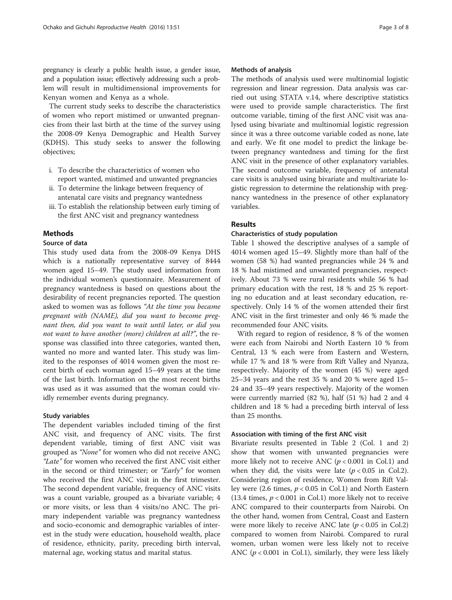pregnancy is clearly a public health issue, a gender issue, and a population issue; effectively addressing such a problem will result in multidimensional improvements for Kenyan women and Kenya as a whole.

The current study seeks to describe the characteristics of women who report mistimed or unwanted pregnancies from their last birth at the time of the survey using the 2008-09 Kenya Demographic and Health Survey (KDHS). This study seeks to answer the following objectives;

- i. To describe the characteristics of women who report wanted, mistimed and unwanted pregnancies
- ii. To determine the linkage between frequency of antenatal care visits and pregnancy wantedness
- iii. To establish the relationship between early timing of the first ANC visit and pregnancy wantedness

## **Methods**

## Source of data

This study used data from the 2008-09 Kenya DHS which is a nationally representative survey of 8444 women aged 15–49. The study used information from the individual women's questionnaire. Measurement of pregnancy wantedness is based on questions about the desirability of recent pregnancies reported. The question asked to women was as follows "At the time you became pregnant with (NAME), did you want to become pregnant then, did you want to wait until later, or did you not want to have another (more) children at all?", the response was classified into three categories, wanted then, wanted no more and wanted later. This study was limited to the responses of 4014 women given the most recent birth of each woman aged 15–49 years at the time of the last birth. Information on the most recent births was used as it was assumed that the woman could vividly remember events during pregnancy.

#### Study variables

The dependent variables included timing of the first ANC visit, and frequency of ANC visits. The first dependent variable, timing of first ANC visit was grouped as "None" for women who did not receive ANC; "Late" for women who received the first ANC visit either in the second or third trimester; or "Early" for women who received the first ANC visit in the first trimester. The second dependent variable, frequency of ANC visits was a count variable, grouped as a bivariate variable; 4 or more visits, or less than 4 visits/no ANC. The primary independent variable was pregnancy wantedness and socio-economic and demographic variables of interest in the study were education, household wealth, place of residence, ethnicity, parity, preceding birth interval, maternal age, working status and marital status.

#### Methods of analysis

The methods of analysis used were multinomial logistic regression and linear regression. Data analysis was carried out using STATA v.14, where descriptive statistics were used to provide sample characteristics. The first outcome variable, timing of the first ANC visit was analysed using bivariate and multinomial logistic regression since it was a three outcome variable coded as none, late and early. We fit one model to predict the linkage between pregnancy wantedness and timing for the first ANC visit in the presence of other explanatory variables. The second outcome variable, frequency of antenatal care visits is analysed using bivariate and multivariate logistic regression to determine the relationship with pregnancy wantedness in the presence of other explanatory variables.

## Results

#### Characteristics of study population

Table [1](#page-3-0) showed the descriptive analyses of a sample of 4014 women aged 15–49. Slightly more than half of the women (58 %) had wanted pregnancies while 24 % and 18 % had mistimed and unwanted pregnancies, respectively. About 73 % were rural residents while 56 % had primary education with the rest, 18 % and 25 % reporting no education and at least secondary education, respectively. Only 14 % of the women attended their first ANC visit in the first trimester and only 46 % made the recommended four ANC visits.

With regard to region of residence, 8 % of the women were each from Nairobi and North Eastern 10 % from Central, 13 % each were from Eastern and Western, while 17 % and 18 % were from Rift Valley and Nyanza, respectively. Majority of the women (45 %) were aged 25–34 years and the rest 35 % and 20 % were aged 15– 24 and 35–49 years respectively. Majority of the women were currently married (82 %), half (51 %) had 2 and 4 children and 18 % had a preceding birth interval of less than 25 months.

### Association with timing of the first ANC visit

Bivariate results presented in Table [2](#page-4-0) (Col. 1 and 2) show that women with unwanted pregnancies were more likely not to receive ANC ( $p < 0.001$  in Col.1) and when they did, the visits were late  $(p < 0.05$  in Col.2). Considering region of residence, Women from Rift Valley were (2.6 times,  $p < 0.05$  in Col.1) and North Eastern (13.4 times,  $p < 0.001$  in Col.1) more likely not to receive ANC compared to their counterparts from Nairobi. On the other hand, women from Central, Coast and Eastern were more likely to receive ANC late  $(p < 0.05$  in Col.2) compared to women from Nairobi. Compared to rural women, urban women were less likely not to receive ANC ( $p < 0.001$  in Col.1), similarly, they were less likely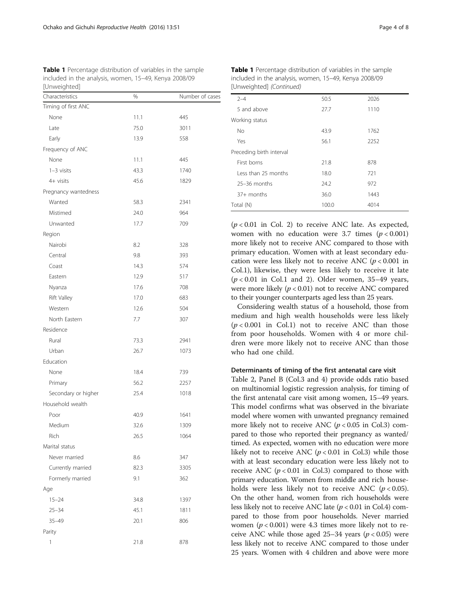<span id="page-3-0"></span>

| Characteristics      | %    | Number of cases |
|----------------------|------|-----------------|
| Timing of first ANC  |      |                 |
| None                 | 11.1 | 445             |
| Late                 | 75.0 | 3011            |
| Early                | 13.9 | 558             |
| Frequency of ANC     |      |                 |
| None                 | 11.1 | 445             |
| $1-3$ visits         | 43.3 | 1740            |
| 4+ visits            | 45.6 | 1829            |
| Pregnancy wantedness |      |                 |
| Wanted               | 58.3 | 2341            |
| Mistimed             | 24.0 | 964             |
| Unwanted             | 17.7 | 709             |
| Region               |      |                 |
| Nairobi              | 8.2  | 328             |
| Central              | 9.8  | 393             |
| Coast                | 14.3 | 574             |
| Eastern              | 12.9 | 517             |
| Nyanza               | 17.6 | 708             |
| Rift Valley          | 17.0 | 683             |
| Western              | 12.6 | 504             |
| North Eastern        | 7.7  | 307             |
| Residence            |      |                 |
| Rural                | 73.3 | 2941            |
| Urban                | 26.7 | 1073            |
| Education            |      |                 |
| None                 | 18.4 | 739             |
| Primary              | 56.2 | 2257            |
| Secondary or higher  | 25.4 | 1018            |
| Household wealth     |      |                 |
| Poor                 | 40.9 | 1641            |
| Medium               | 32.6 | 1309            |
| Rich                 | 26.5 | 1064            |
| Marital status       |      |                 |
| Never married        | 8.6  | 347             |
| Currently married    | 82.3 | 3305            |
| Formerly married     | 9.1  | 362             |
| Age                  |      |                 |
| $15 - 24$            | 34.8 | 1397            |
| $25 - 34$            | 45.1 | 1811            |
| $35 - 49$            | 20.1 | 806             |
| Parity               |      |                 |
| 1                    | 21.8 | 878             |

Table 1 Percentage distribution of variables in the sample included in the analysis, women, 15–49, Kenya 2008/09 [Unweighted] (Continued)

| $2 - 4$                  | 50.5  | 2026 |
|--------------------------|-------|------|
| 5 and above              | 27.7  | 1110 |
| Working status           |       |      |
| No                       | 43.9  | 1762 |
| Yes                      | 56.1  | 2252 |
| Preceding birth interval |       |      |
| First borns              | 21.8  | 878  |
| Less than 25 months      | 18.0  | 721  |
| $25-36$ months           | 24.2  | 972  |
| $37+$ months             | 36.0  | 1443 |
| Total (N)                | 100.0 | 4014 |

 $(p < 0.01$  in Col. 2) to receive ANC late. As expected, women with no education were 3.7 times  $(p < 0.001)$ more likely not to receive ANC compared to those with primary education. Women with at least secondary education were less likely not to receive ANC  $(p < 0.001$  in Col.1), likewise, they were less likely to receive it late  $(p < 0.01$  in Col.1 and 2). Older women, 35–49 years, were more likely  $(p < 0.01)$  not to receive ANC compared to their younger counterparts aged less than 25 years.

Considering wealth status of a household, those from medium and high wealth households were less likely  $(p < 0.001$  in Col.1) not to receive ANC than those from poor households. Women with 4 or more children were more likely not to receive ANC than those who had one child.

## Determinants of timing of the first antenatal care visit

Table [2](#page-4-0), Panel B (Col.3 and 4) provide odds ratio based on multinomial logistic regression analysis, for timing of the first antenatal care visit among women, 15–49 years. This model confirms what was observed in the bivariate model where women with unwanted pregnancy remained more likely not to receive ANC ( $p < 0.05$  in Col.3) compared to those who reported their pregnancy as wanted/ timed. As expected, women with no education were more likely not to receive ANC ( $p < 0.01$  in Col.3) while those with at least secondary education were less likely not to receive ANC  $(p < 0.01$  in Col.3) compared to those with primary education. Women from middle and rich households were less likely not to receive ANC ( $p < 0.05$ ). On the other hand, women from rich households were less likely not to receive ANC late  $(p < 0.01$  in Col.4) compared to those from poor households. Never married women ( $p < 0.001$ ) were 4.3 times more likely not to receive ANC while those aged  $25-34$  years ( $p < 0.05$ ) were less likely not to receive ANC compared to those under 25 years. Women with 4 children and above were more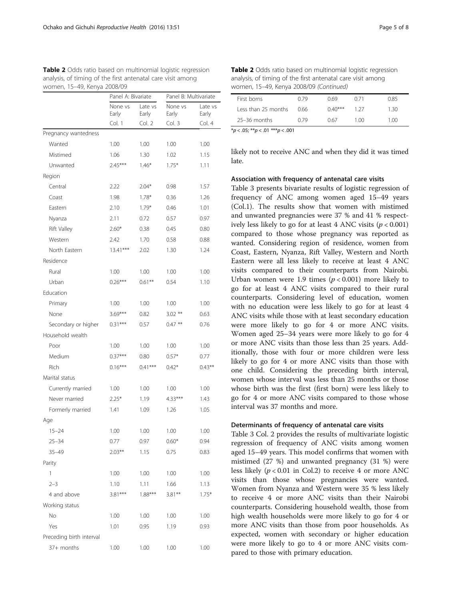|                          | Panel A: Bivariate |                  | Panel B: Multivariate |                  |
|--------------------------|--------------------|------------------|-----------------------|------------------|
|                          | None vs<br>Early   | Late vs<br>Early | None vs<br>Early      | Late vs<br>Early |
|                          | Col. 1             | Col. 2           | Col. 3                | Col. 4           |
| Pregnancy wantedness     |                    |                  |                       |                  |
| Wanted                   | 1.00               | 1.00             | 1.00                  | 1.00             |
| Mistimed                 | 1.06               | 1.30             | 1.02                  | 1.15             |
| Unwanted                 | $2.45***$          | $1.46*$          | $1.75*$               | 1.11             |
| Region                   |                    |                  |                       |                  |
| Central                  | 2.22               | $2.04*$          | 0.98                  | 1.57             |
| Coast                    | 1.98               | $1.78*$          | 0.36                  | 1.26             |
| Eastern                  | 2.10               | $1.79*$          | 0.46                  | 1.01             |
| Nyanza                   | 2.11               | 0.72             | 0.57                  | 0.97             |
| <b>Rift Valley</b>       | $2.60*$            | 0.38             | 0.45                  | 0.80             |
| Western                  | 2.42               | 1.70             | 0.58                  | 0.88             |
| North Eastern            | $13.41***$         | 2.02             | 1.30                  | 1.24             |
| Residence                |                    |                  |                       |                  |
| Rural                    | 1.00               | 1.00             | 1.00                  | 1.00             |
| Urban                    | $0.26***$          | $0.61**$         | 0.54                  | 1.10             |
| Education                |                    |                  |                       |                  |
| Primary                  | 1.00               | 1.00             | 1.00                  | 1.00             |
| None                     | 3.69***            | 0.82             | $3.02$ **             | 0.63             |
| Secondary or higher      | $0.31***$          | 0.57             | $0.47***$             | 0.76             |
| Household wealth         |                    |                  |                       |                  |
| Poor                     | 1.00               | 1.00             | 1.00                  | 1.00             |
| Medium                   | $0.37***$          | 0.80             | $0.57*$               | 0.77             |
| Rich                     | $0.16***$          | $0.41***$        | $0.42*$               | $0.43**$         |
| Marital status           |                    |                  |                       |                  |
| Currently married        | 1.00               | 1.00             | 1.00                  | 1.00             |
| Never married            | $2.25*$            | 1.19             | $4.33***$             | 1.43             |
| Formerly married         | 1.41               | 1.09             | 1.26                  | 1.05             |
| Age                      |                    |                  |                       |                  |
| $15 - 24$                | 1.00               | 1.00             | 1.00                  | 1.00             |
| $25 - 34$                | 0.77               | 0.97             | $0.60*$               | 0.94             |
| $35 - 49$                | $2.03***$          | 1.15             | 0.75                  | 0.83             |
| Parity                   |                    |                  |                       |                  |
| 1                        | $1.00\,$           | 1.00             | 1.00                  | 1.00             |
| $2 - 3$                  | 1.10               | 1.11             | 1.66                  | 1.13             |
| 4 and above              | 3.81***            | $1.88***$        | $3.81**$              | $1.75*$          |
| Working status           |                    |                  |                       |                  |
| No                       | 1.00               | 1.00             | 1.00                  | 1.00             |
| Yes                      | 1.01               | 0.95             | 1.19                  | 0.93             |
| Preceding birth interval |                    |                  |                       |                  |
| 37+ months               | 1.00               | 1.00             | 1.00                  | 1.00             |

<span id="page-4-0"></span>Table 2 Odds ratio based on multinomial logistic regression analysis, of timing of the first antenatal care visit among women, 15–49, Kenya 2008/09

| Table 2 Odds ratio based on multinomial logistic regression |
|-------------------------------------------------------------|
| analysis, of timing of the first antenatal care visit among |
| women, 15–49, Kenya 2008/09 (Continued)                     |

| First borns         | 0.79 | 069       | O 71  | 085   |
|---------------------|------|-----------|-------|-------|
| Less than 25 months | 066  | $0.40***$ | 1 27  | 1 RN  |
| $25-36$ months      | 0.79 | 067       | 1 N N | 1 N N |

 $*<sub>p</sub> < .05; **<sub>p</sub> < .01$  \*\*\**p* < .001

likely not to receive ANC and when they did it was timed late.

#### Association with frequency of antenatal care visits

Table [3](#page-5-0) presents bivariate results of logistic regression of frequency of ANC among women aged 15–49 years (Col.1). The results show that women with mistimed and unwanted pregnancies were 37 % and 41 % respectively less likely to go for at least 4 ANC visits  $(p < 0.001)$ compared to those whose pregnancy was reported as wanted. Considering region of residence, women from Coast, Eastern, Nyanza, Rift Valley, Western and North Eastern were all less likely to receive at least 4 ANC visits compared to their counterparts from Nairobi. Urban women were 1.9 times ( $p < 0.001$ ) more likely to go for at least 4 ANC visits compared to their rural counterparts. Considering level of education, women with no education were less likely to go for at least 4 ANC visits while those with at least secondary education were more likely to go for 4 or more ANC visits. Women aged 25–34 years were more likely to go for 4 or more ANC visits than those less than 25 years. Additionally, those with four or more children were less likely to go for 4 or more ANC visits than those with one child. Considering the preceding birth interval, women whose interval was less than 25 months or those whose birth was the first (first born) were less likely to go for 4 or more ANC visits compared to those whose interval was 37 months and more.

## Determinants of frequency of antenatal care visits

Table [3](#page-5-0) Col. 2 provides the results of multivariate logistic regression of frequency of ANC visits among women aged 15–49 years. This model confirms that women with mistimed (27 %) and unwanted pregnancy (31 %) were less likely ( $p < 0.01$  in Col.2) to receive 4 or more ANC visits than those whose pregnancies were wanted. Women from Nyanza and Western were 35 % less likely to receive 4 or more ANC visits than their Nairobi counterparts. Considering household wealth, those from high wealth households were more likely to go for 4 or more ANC visits than those from poor households. As expected, women with secondary or higher education were more likely to go to 4 or more ANC visits compared to those with primary education.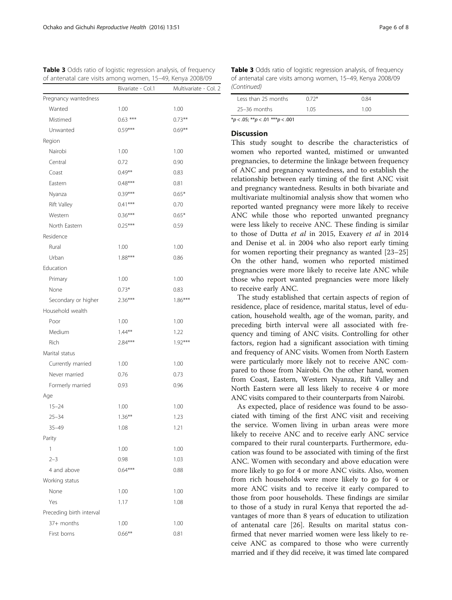<span id="page-5-0"></span>Table 3 Odds ratio of logistic regression analysis, of frequency

| of antenatal care visits among women, 15-49, Kenya 2008/09 |                   |                       |
|------------------------------------------------------------|-------------------|-----------------------|
|                                                            | Bivariate - Col.1 | Multivariate - Col. 2 |
| Pregnancy wantedness                                       |                   |                       |
| Wanted                                                     | 1.00              | 1.00                  |
| Mistimed                                                   | $0.63***$         | $0.73***$             |
| Unwanted                                                   | $0.59***$         | $0.69***$             |
| Region                                                     |                   |                       |
| Nairobi                                                    | 1.00              | 1.00                  |
| Central                                                    | 0.72              | 0.90                  |
| Coast                                                      | $0.49**$          | 0.83                  |
| Eastern                                                    | $0.48***$         | 0.81                  |
| Nyanza                                                     | $0.39***$         | $0.65*$               |
| Rift Valley                                                | $0.41***$         | 0.70                  |
| Western                                                    | $0.36***$         | $0.65*$               |
| North Eastern                                              | $0.25***$         | 0.59                  |
| Residence                                                  |                   |                       |
| Rural                                                      | 1.00              | 1.00                  |
| Urban                                                      | $1.88***$         | 0.86                  |
| Education                                                  |                   |                       |
| Primary                                                    | 1.00              | 1.00                  |
| None                                                       | $0.73*$           | 0.83                  |
| Secondary or higher                                        | $2.36***$         | $1.86***$             |
| Household wealth                                           |                   |                       |
| Poor                                                       | 1.00              | 1.00                  |
| Medium                                                     | $1.44**$          | 1.22                  |
| Rich                                                       | $2.84***$         | $1.92***$             |
| Marital status                                             |                   |                       |
| Currently married                                          | 1.00              | 1.00                  |
| Never married                                              | 0.76              | 0.73                  |
| Formerly married                                           | 0.93              | 0.96                  |
| Age                                                        |                   |                       |
| $15 - 24$                                                  | 1.00              | 1.00                  |
| 25–34                                                      | 1.36**            | 1.23                  |
| $35 - 49$                                                  | 1.08              | 1.21                  |
| Parity                                                     |                   |                       |
| 1                                                          | 1.00              | 1.00                  |
| $2 - 3$                                                    | 0.98              | 1.03                  |
| 4 and above                                                | $0.64***$         | 0.88                  |
| Working status                                             |                   |                       |
| None                                                       | 1.00              | 1.00                  |
| Yes                                                        | 1.17              | 1.08                  |
| Preceding birth interval                                   |                   |                       |
| 37+ months                                                 | 1.00              | 1.00                  |
| First borns                                                | $0.66***$         |                       |
|                                                            |                   | 0.81                  |

Table 3 Odds ratio of logistic regression analysis, of frequency of antenatal care visits among women, 15–49, Kenya 2008/09 (Continued)

| $25-36$ months<br>1.00<br>1 በ5 | Less than 25 months | $0.72*$ | 184 |  |
|--------------------------------|---------------------|---------|-----|--|
|                                |                     |         |     |  |

 $*p < .05; **p < .01***p < .001$ 

## **Discussion**

This study sought to describe the characteristics of women who reported wanted, mistimed or unwanted pregnancies, to determine the linkage between frequency of ANC and pregnancy wantedness, and to establish the relationship between early timing of the first ANC visit and pregnancy wantedness. Results in both bivariate and multivariate multinomial analysis show that women who reported wanted pregnancy were more likely to receive ANC while those who reported unwanted pregnancy were less likely to receive ANC. These finding is similar to those of Dutta et al in 2015, Exavery et al in 2014 and Denise et al. in 2004 who also report early timing for women reporting their pregnancy as wanted [[23](#page-7-0)–[25](#page-7-0)] On the other hand, women who reported mistimed pregnancies were more likely to receive late ANC while those who report wanted pregnancies were more likely to receive early ANC.

The study established that certain aspects of region of residence, place of residence, marital status, level of education, household wealth, age of the woman, parity, and preceding birth interval were all associated with frequency and timing of ANC visits. Controlling for other factors, region had a significant association with timing and frequency of ANC visits. Women from North Eastern were particularly more likely not to receive ANC compared to those from Nairobi. On the other hand, women from Coast, Eastern, Western Nyanza, Rift Valley and North Eastern were all less likely to receive 4 or more ANC visits compared to their counterparts from Nairobi.

As expected, place of residence was found to be associated with timing of the first ANC visit and receiving the service. Women living in urban areas were more likely to receive ANC and to receive early ANC service compared to their rural counterparts. Furthermore, education was found to be associated with timing of the first ANC. Women with secondary and above education were more likely to go for 4 or more ANC visits. Also, women from rich households were more likely to go for 4 or more ANC visits and to receive it early compared to those from poor households. These findings are similar to those of a study in rural Kenya that reported the advantages of more than 8 years of education to utilization of antenatal care [\[26\]](#page-7-0). Results on marital status confirmed that never married women were less likely to receive ANC as compared to those who were currently married and if they did receive, it was timed late compared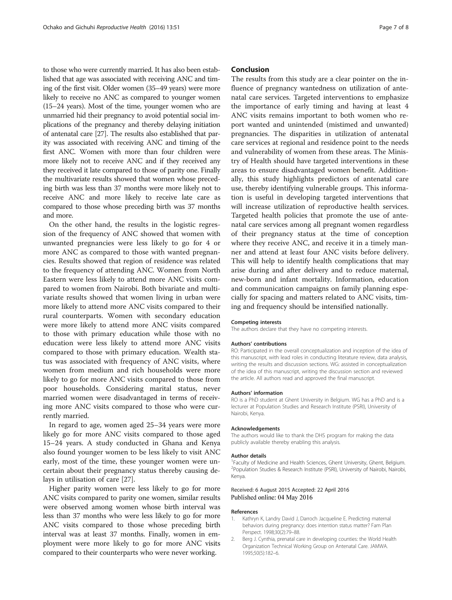<span id="page-6-0"></span>to those who were currently married. It has also been established that age was associated with receiving ANC and timing of the first visit. Older women (35–49 years) were more likely to receive no ANC as compared to younger women (15–24 years). Most of the time, younger women who are unmarried hid their pregnancy to avoid potential social implications of the pregnancy and thereby delaying initiation of antenatal care [\[27](#page-7-0)]. The results also established that parity was associated with receiving ANC and timing of the first ANC. Women with more than four children were more likely not to receive ANC and if they received any they received it late compared to those of parity one. Finally the multivariate results showed that women whose preceding birth was less than 37 months were more likely not to receive ANC and more likely to receive late care as compared to those whose preceding birth was 37 months and more.

On the other hand, the results in the logistic regression of the frequency of ANC showed that women with unwanted pregnancies were less likely to go for 4 or more ANC as compared to those with wanted pregnancies. Results showed that region of residence was related to the frequency of attending ANC. Women from North Eastern were less likely to attend more ANC visits compared to women from Nairobi. Both bivariate and multivariate results showed that women living in urban were more likely to attend more ANC visits compared to their rural counterparts. Women with secondary education were more likely to attend more ANC visits compared to those with primary education while those with no education were less likely to attend more ANC visits compared to those with primary education. Wealth status was associated with frequency of ANC visits, where women from medium and rich households were more likely to go for more ANC visits compared to those from poor households. Considering marital status, never married women were disadvantaged in terms of receiving more ANC visits compared to those who were currently married.

In regard to age, women aged 25–34 years were more likely go for more ANC visits compared to those aged 15–24 years. A study conducted in Ghana and Kenya also found younger women to be less likely to visit ANC early, most of the time, these younger women were uncertain about their pregnancy status thereby causing delays in utilisation of care [\[27\]](#page-7-0).

Higher parity women were less likely to go for more ANC visits compared to parity one women, similar results were observed among women whose birth interval was less than 37 months who were less likely to go for more ANC visits compared to those whose preceding birth interval was at least 37 months. Finally, women in employment were more likely to go for more ANC visits compared to their counterparts who were never working.

## Conclusion

The results from this study are a clear pointer on the influence of pregnancy wantedness on utilization of antenatal care services. Targeted interventions to emphasize the importance of early timing and having at least 4 ANC visits remains important to both women who report wanted and unintended (mistimed and unwanted) pregnancies. The disparities in utilization of antenatal care services at regional and residence point to the needs and vulnerability of women from these areas. The Ministry of Health should have targeted interventions in these areas to ensure disadvantaged women benefit. Additionally, this study highlights predictors of antenatal care use, thereby identifying vulnerable groups. This information is useful in developing targeted interventions that will increase utilization of reproductive health services. Targeted health policies that promote the use of antenatal care services among all pregnant women regardless of their pregnancy status at the time of conception where they receive ANC, and receive it in a timely manner and attend at least four ANC visits before delivery. This will help to identify health complications that may arise during and after delivery and to reduce maternal, new-born and infant mortality. Information, education and communication campaigns on family planning especially for spacing and matters related to ANC visits, timing and frequency should be intensified nationally.

#### Competing interests

The authors declare that they have no competing interests.

#### Authors' contributions

RO: Participated in the overall conceptualization and inception of the idea of this manuscript, with lead roles in conducting literature review, data analysis, writing the results and discussion sections. WG: assisted in conceptualization of the idea of this manuscript, writing the discussion section and reviewed the article. All authors read and approved the final manuscript.

#### Authors' information

RO is a PhD student at Ghent University in Belgium. WG has a PhD and is a lecturer at Population Studies and Research Institute (PSRI), University of Nairobi, Kenya.

#### Acknowledgements

The authors would like to thank the DHS program for making the data publicly available thereby enabling this analysis.

#### Author details

<sup>1</sup> Faculty of Medicine and Health Sciences, Ghent University, Ghent, Belgium. <sup>2</sup> Population Studies & Research Institute (PSRI), University of Nairobi, Nairobi, Kenya.

#### Received: 6 August 2015 Accepted: 22 April 2016 Published online: 04 May 2016

#### References

- 1. Kathryn K, Landry David J, Darroch Jacqueline E. Predicting maternal behaviors during pregnancy: does intention status matter? Fam Plan Perspect. 1998;30(2):79–88.
- 2. Berg J. Cynthia, prenatal care in developing counties: the World Health Organization Technical Working Group on Antenatal Care. JAMWA. 1995;50(5):182–6.